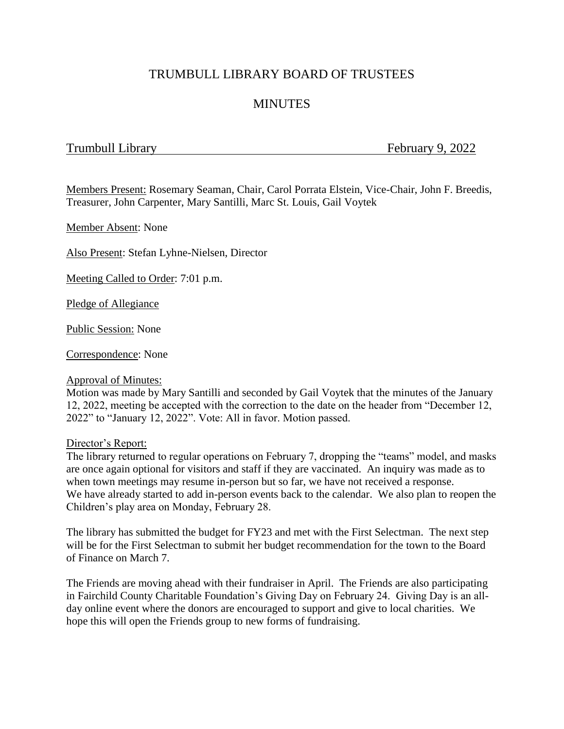## TRUMBULL LIBRARY BOARD OF TRUSTEES

# **MINUTES**

## Trumbull Library Trumbull Library 9, 2022

Members Present: Rosemary Seaman, Chair, Carol Porrata Elstein, Vice-Chair, John F. Breedis, Treasurer, John Carpenter, Mary Santilli, Marc St. Louis, Gail Voytek

Member Absent: None

Also Present: Stefan Lyhne-Nielsen, Director

Meeting Called to Order: 7:01 p.m.

Pledge of Allegiance

Public Session: None

Correspondence: None

## Approval of Minutes:

Motion was made by Mary Santilli and seconded by Gail Voytek that the minutes of the January 12, 2022, meeting be accepted with the correction to the date on the header from "December 12, 2022" to "January 12, 2022". Vote: All in favor. Motion passed.

#### Director's Report:

The library returned to regular operations on February 7, dropping the "teams" model, and masks are once again optional for visitors and staff if they are vaccinated. An inquiry was made as to when town meetings may resume in-person but so far, we have not received a response. We have already started to add in-person events back to the calendar. We also plan to reopen the Children's play area on Monday, February 28.

The library has submitted the budget for FY23 and met with the First Selectman. The next step will be for the First Selectman to submit her budget recommendation for the town to the Board of Finance on March 7.

The Friends are moving ahead with their fundraiser in April. The Friends are also participating in Fairchild County Charitable Foundation's Giving Day on February 24. Giving Day is an allday online event where the donors are encouraged to support and give to local charities. We hope this will open the Friends group to new forms of fundraising.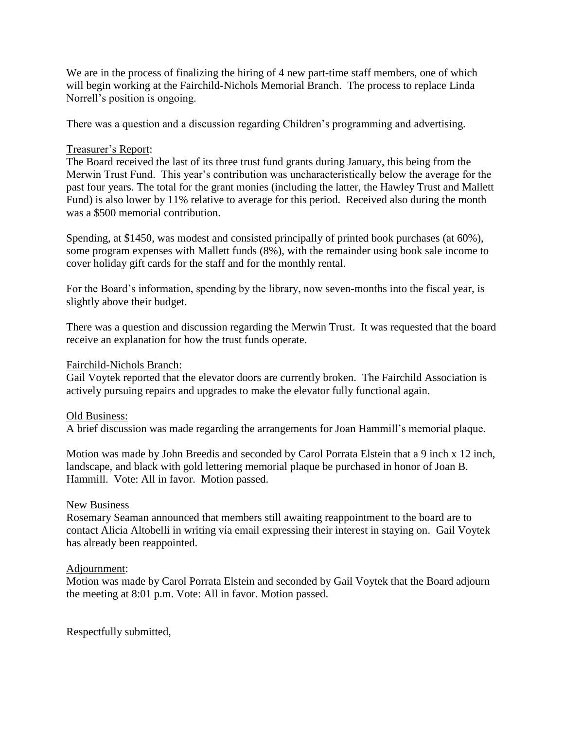We are in the process of finalizing the hiring of 4 new part-time staff members, one of which will begin working at the Fairchild-Nichols Memorial Branch. The process to replace Linda Norrell's position is ongoing.

There was a question and a discussion regarding Children's programming and advertising.

## Treasurer's Report:

The Board received the last of its three trust fund grants during January, this being from the Merwin Trust Fund. This year's contribution was uncharacteristically below the average for the past four years. The total for the grant monies (including the latter, the Hawley Trust and Mallett Fund) is also lower by 11% relative to average for this period. Received also during the month was a \$500 memorial contribution.

Spending, at \$1450, was modest and consisted principally of printed book purchases (at 60%), some program expenses with Mallett funds (8%), with the remainder using book sale income to cover holiday gift cards for the staff and for the monthly rental.

For the Board's information, spending by the library, now seven-months into the fiscal year, is slightly above their budget.

There was a question and discussion regarding the Merwin Trust. It was requested that the board receive an explanation for how the trust funds operate.

Fairchild-Nichols Branch:

Gail Voytek reported that the elevator doors are currently broken. The Fairchild Association is actively pursuing repairs and upgrades to make the elevator fully functional again.

## Old Business:

A brief discussion was made regarding the arrangements for Joan Hammill's memorial plaque.

Motion was made by John Breedis and seconded by Carol Porrata Elstein that a 9 inch x 12 inch, landscape, and black with gold lettering memorial plaque be purchased in honor of Joan B. Hammill. Vote: All in favor. Motion passed.

## New Business

Rosemary Seaman announced that members still awaiting reappointment to the board are to contact Alicia Altobelli in writing via email expressing their interest in staying on. Gail Voytek has already been reappointed.

## Adjournment:

Motion was made by Carol Porrata Elstein and seconded by Gail Voytek that the Board adjourn the meeting at 8:01 p.m. Vote: All in favor. Motion passed.

Respectfully submitted,